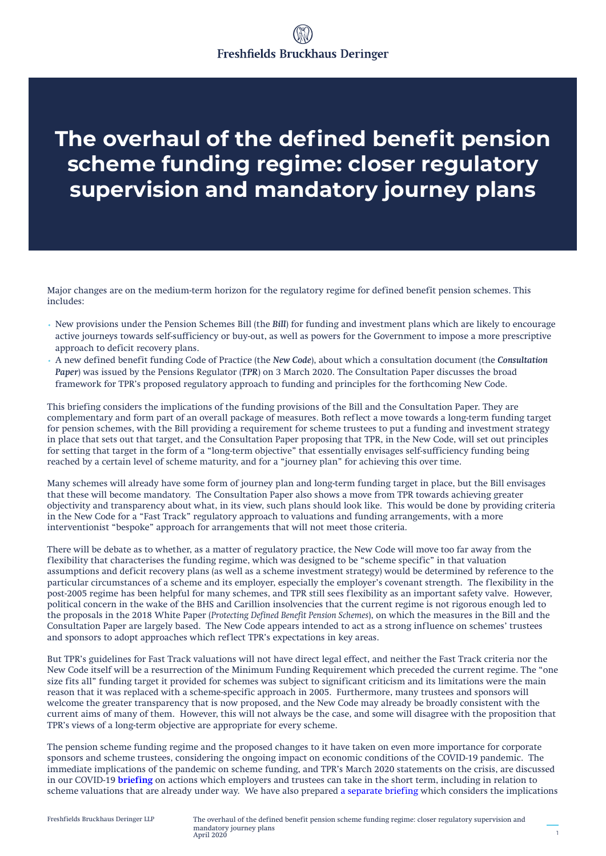# **The overhaul of the defined benefit pension scheme funding regime: closer regulatory supervision and mandatory journey plans**

Major changes are on the medium-term horizon for the regulatory regime for defined benefit pension schemes. This includes:

- New provisions under the Pension Schemes Bill (the *Bill*) for funding and investment plans which are likely to encourage active journeys towards self-sufficiency or buy-out, as well as powers for the Government to impose a more prescriptive approach to deficit recovery plans.
- A new defined benefit funding Code of Practice (the *New Code*), about which a consultation document (the *Consultation Paper*) was issued by the Pensions Regulator (*TPR*) on 3 March 2020. The Consultation Paper discusses the broad framework for TPR's proposed regulatory approach to funding and principles for the forthcoming New Code.

This briefing considers the implications of the funding provisions of the Bill and the Consultation Paper. They are complementary and form part of an overall package of measures. Both reflect a move towards a long-term funding target for pension schemes, with the Bill providing a requirement for scheme trustees to put a funding and investment strategy in place that sets out that target, and the Consultation Paper proposing that TPR, in the New Code, will set out principles for setting that target in the form of a "long-term objective" that essentially envisages self-sufficiency funding being reached by a certain level of scheme maturity, and for a "journey plan" for achieving this over time.

Many schemes will already have some form of journey plan and long-term funding target in place, but the Bill envisages that these will become mandatory. The Consultation Paper also shows a move from TPR towards achieving greater objectivity and transparency about what, in its view, such plans should look like. This would be done by providing criteria in the New Code for a "Fast Track" regulatory approach to valuations and funding arrangements, with a more interventionist "bespoke" approach for arrangements that will not meet those criteria.

There will be debate as to whether, as a matter of regulatory practice, the New Code will move too far away from the flexibility that characterises the funding regime, which was designed to be "scheme specific" in that valuation assumptions and deficit recovery plans (as well as a scheme investment strategy) would be determined by reference to the particular circumstances of a scheme and its employer, especially the employer's covenant strength. The flexibility in the post-2005 regime has been helpful for many schemes, and TPR still sees flexibility as an important safety valve. However, political concern in the wake of the BHS and Carillion insolvencies that the current regime is not rigorous enough led to the proposals in the 2018 White Paper (*Protecting Defined Benefit Pension Schemes*), on which the measures in the Bill and the Consultation Paper are largely based. The New Code appears intended to act as a strong influence on schemes' trustees and sponsors to adopt approaches which reflect TPR's expectations in key areas.

But TPR's guidelines for Fast Track valuations will not have direct legal effect, and neither the Fast Track criteria nor the New Code itself will be a resurrection of the Minimum Funding Requirement which preceded the current regime. The "one size fits all" funding target it provided for schemes was subject to significant criticism and its limitations were the main reason that it was replaced with a scheme-specific approach in 2005. Furthermore, many trustees and sponsors will welcome the greater transparency that is now proposed, and the New Code may already be broadly consistent with the current aims of many of them. However, this will not always be the case, and some will disagree with the proposition that TPR's views of a long-term objective are appropriate for every scheme.

The pension scheme funding regime and the proposed changes to it have taken on even more importance for corporate sponsors and scheme trustees, considering the ongoing impact on economic conditions of the COVID-19 pandemic. The immediate implications of the pandemic on scheme funding, and TPR's March 2020 statements on the crisis, are discussed in our COVID-19 **[briefing](https://riskandcompliance.freshfields.com/post/102g401/covid-19-the-impact-on-uk-pension-scheme-funding-and-potential-actions-which-em)** on actions which employers and trustees can take in the short term, including in relation to scheme valuations that are already under way. We have also prepare[d a separate briefing](http://knowledge.freshfields.com/en/Global/r/4209/covid-19_-_the_impact_on_pension_scheme_funding) which considers the implications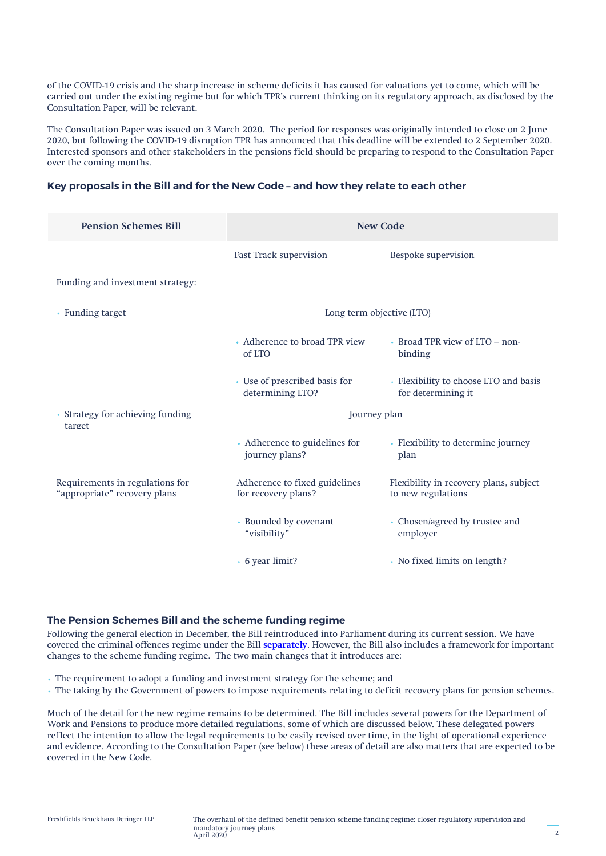of the COVID-19 crisis and the sharp increase in scheme deficits it has caused for valuations yet to come, which will be carried out under the existing regime but for which TPR's current thinking on its regulatory approach, as disclosed by the Consultation Paper, will be relevant.

The Consultation Paper was issued on 3 March 2020. The period for responses was originally intended to close on 2 June 2020, but following the COVID-19 disruption TPR has announced that this deadline will be extended to 2 September 2020. Interested sponsors and other stakeholders in the pensions field should be preparing to respond to the Consultation Paper over the coming months.

#### **Key proposals in the Bill and for the New Code – and how they relate to each other**

| <b>Pension Schemes Bill</b>                                     | <b>New Code</b>                                      |                                                              |
|-----------------------------------------------------------------|------------------------------------------------------|--------------------------------------------------------------|
|                                                                 | Fast Track supervision                               | Bespoke supervision                                          |
| Funding and investment strategy:                                |                                                      |                                                              |
| • Funding target                                                | Long term objective (LTO)                            |                                                              |
|                                                                 | • Adherence to broad TPR view<br>of LTO              | • Broad TPR view of LTO – non-<br>binding                    |
|                                                                 | • Use of prescribed basis for<br>determining LTO?    | • Flexibility to choose LTO and basis<br>for determining it  |
| • Strategy for achieving funding<br>target                      | Journey plan                                         |                                                              |
|                                                                 | • Adherence to guidelines for<br>journey plans?      | • Flexibility to determine journey<br>plan                   |
| Requirements in regulations for<br>"appropriate" recovery plans | Adherence to fixed guidelines<br>for recovery plans? | Flexibility in recovery plans, subject<br>to new regulations |
|                                                                 | • Bounded by covenant<br>"visibility"                | • Chosen/agreed by trustee and<br>employer                   |
|                                                                 | • 6 year limit?                                      | • No fixed limits on length?                                 |

### **The Pension Schemes Bill and the scheme funding regime**

Following the general election in December, the Bill reintroduced into Parliament during its current session. We have covered the criminal offences regime under the Bill **[separately](https://riskandcompliance.freshfields.com/post/102fwtx/managing-uk-pensions-risk-new-pensions-regulator-powers-and-criminal-offences)**. However, the Bill also includes a framework for important changes to the scheme funding regime. The two main changes that it introduces are:

- The requirement to adopt a funding and investment strategy for the scheme; and
- The taking by the Government of powers to impose requirements relating to deficit recovery plans for pension schemes.

Much of the detail for the new regime remains to be determined. The Bill includes several powers for the Department of Work and Pensions to produce more detailed regulations, some of which are discussed below. These delegated powers reflect the intention to allow the legal requirements to be easily revised over time, in the light of operational experience and evidence. According to the Consultation Paper (see below) these areas of detail are also matters that are expected to be covered in the New Code.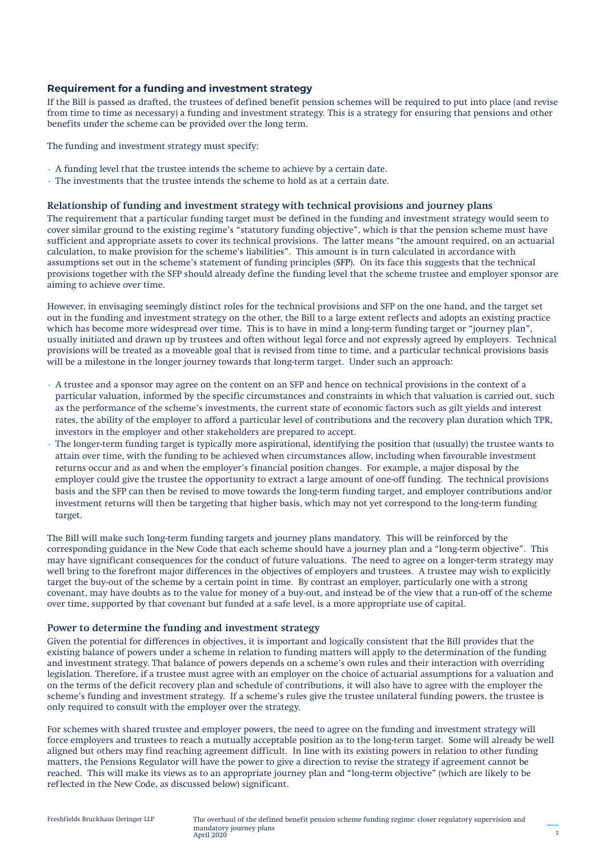### **Requirement for a funding and investment strategy**

If the Bill is passed as drafted, the trustees of defined benefit pension schemes will be required to put into place (and revise from time to time as necessary) a funding and investment strategy. This is a strategy for ensuring that pensions and other benefits under the scheme can be provided over the long term.

The funding and investment strategy must specify:

- A funding level that the trustee intends the scheme to achieve by a certain date.
- The investments that the trustee intends the scheme to hold as at a certain date.

#### **Relationship of funding and investment strategy with technical provisions and journey plans**

The requirement that a particular funding target must be defined in the funding and investment strategy would seem to cover similar ground to the existing regime's "statutory funding objective", which is that the pension scheme must have sufficient and appropriate assets to cover its technical provisions. The latter means "the amount required, on an actuarial calculation, to make provision for the scheme's liabilities". This amount is in turn calculated in accordance with assumptions set out in the scheme's statement of funding principles (*SFP*). On its face this suggests that the technical provisions together with the SFP should already define the funding level that the scheme trustee and employer sponsor are aiming to achieve over time.

However, in envisaging seemingly distinct roles for the technical provisions and SFP on the one hand, and the target set out in the funding and investment strategy on the other, the Bill to a large extent reflects and adopts an existing practice which has become more widespread over time. This is to have in mind a long-term funding target or "journey plan", usually initiated and drawn up by trustees and often without legal force and not expressly agreed by employers. Technical provisions will be treated as a moveable goal that is revised from time to time, and a particular technical provisions basis will be a milestone in the longer journey towards that long-term target. Under such an approach:

- A trustee and a sponsor may agree on the content on an SFP and hence on technical provisions in the context of a particular valuation, informed by the specific circumstances and constraints in which that valuation is carried out, such as the performance of the scheme's investments, the current state of economic factors such as gilt yields and interest rates, the ability of the employer to afford a particular level of contributions and the recovery plan duration which TPR, investors in the employer and other stakeholders are prepared to accept.
- The longer-term funding target is typically more aspirational, identifying the position that (usually) the trustee wants to attain over time, with the funding to be achieved when circumstances allow, including when favourable investment returns occur and as and when the employer's financial position changes. For example, a major disposal by the employer could give the trustee the opportunity to extract a large amount of one-off funding. The technical provisions basis and the SFP can then be revised to move towards the long-term funding target, and employer contributions and/or investment returns will then be targeting that higher basis, which may not yet correspond to the long-term funding target.

The Bill will make such long-term funding targets and journey plans mandatory. This will be reinforced by the corresponding guidance in the New Code that each scheme should have a journey plan and a "long-term objective". This may have significant consequences for the conduct of future valuations. The need to agree on a longer-term strategy may well bring to the forefront major differences in the objectives of employers and trustees. A trustee may wish to explicitly target the buy-out of the scheme by a certain point in time. By contrast an employer, particularly one with a strong covenant, may have doubts as to the value for money of a buy-out, and instead be of the view that a run-off of the scheme over time, supported by that covenant but funded at a safe level, is a more appropriate use of capital.

### **Power to determine the funding and investment strategy**

Given the potential for differences in objectives, it is important and logically consistent that the Bill provides that the existing balance of powers under a scheme in relation to funding matters will apply to the determination of the funding and investment strategy. That balance of powers depends on a scheme's own rules and their interaction with overriding legislation. Therefore, if a trustee must agree with an employer on the choice of actuarial assumptions for a valuation and on the terms of the deficit recovery plan and schedule of contributions, it will also have to agree with the employer the scheme's funding and investment strategy. If a scheme's rules give the trustee unilateral funding powers, the trustee is only required to consult with the employer over the strategy.

For schemes with shared trustee and employer powers, the need to agree on the funding and investment strategy will force employers and trustees to reach a mutually acceptable position as to the long-term target. Some will already be well aligned but others may find reaching agreement difficult. In line with its existing powers in relation to other funding matters, the Pensions Regulator will have the power to give a direction to revise the strategy if agreement cannot be reached. This will make its views as to an appropriate journey plan and "long-term objective" (which are likely to be reflected in the New Code, as discussed below) significant.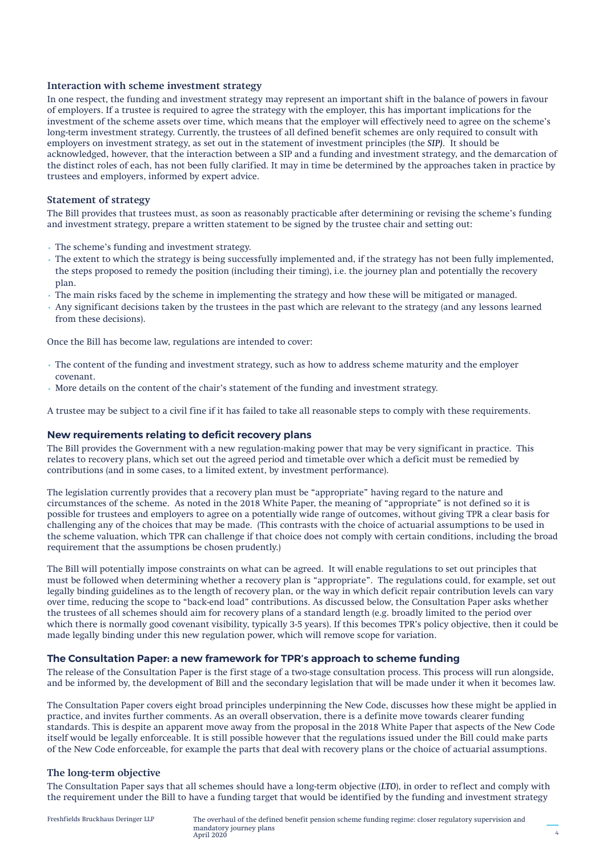#### **Interaction with scheme investment strategy**

In one respect, the funding and investment strategy may represent an important shift in the balance of powers in favour of employers. If a trustee is required to agree the strategy with the employer, this has important implications for the investment of the scheme assets over time, which means that the employer will effectively need to agree on the scheme's long-term investment strategy. Currently, the trustees of all defined benefit schemes are only required to consult with employers on investment strategy, as set out in the statement of investment principles (the *SIP)*. It should be acknowledged, however, that the interaction between a SIP and a funding and investment strategy, and the demarcation of the distinct roles of each, has not been fully clarified. It may in time be determined by the approaches taken in practice by trustees and employers, informed by expert advice.

### **Statement of strategy**

The Bill provides that trustees must, as soon as reasonably practicable after determining or revising the scheme's funding and investment strategy, prepare a written statement to be signed by the trustee chair and setting out:

- The scheme's funding and investment strategy.
- The extent to which the strategy is being successfully implemented and, if the strategy has not been fully implemented, the steps proposed to remedy the position (including their timing), i.e. the journey plan and potentially the recovery plan.
- The main risks faced by the scheme in implementing the strategy and how these will be mitigated or managed.
- Any significant decisions taken by the trustees in the past which are relevant to the strategy (and any lessons learned from these decisions).

Once the Bill has become law, regulations are intended to cover:

- The content of the funding and investment strategy, such as how to address scheme maturity and the employer covenant.
- More details on the content of the chair's statement of the funding and investment strategy.

A trustee may be subject to a civil fine if it has failed to take all reasonable steps to comply with these requirements.

### **New requirements relating to deficit recovery plans**

The Bill provides the Government with a new regulation-making power that may be very significant in practice. This relates to recovery plans, which set out the agreed period and timetable over which a deficit must be remedied by contributions (and in some cases, to a limited extent, by investment performance).

The legislation currently provides that a recovery plan must be "appropriate" having regard to the nature and circumstances of the scheme. As noted in the 2018 White Paper, the meaning of "appropriate" is not defined so it is possible for trustees and employers to agree on a potentially wide range of outcomes, without giving TPR a clear basis for challenging any of the choices that may be made. (This contrasts with the choice of actuarial assumptions to be used in the scheme valuation, which TPR can challenge if that choice does not comply with certain conditions, including the broad requirement that the assumptions be chosen prudently.)

The Bill will potentially impose constraints on what can be agreed. It will enable regulations to set out principles that must be followed when determining whether a recovery plan is "appropriate". The regulations could, for example, set out legally binding guidelines as to the length of recovery plan, or the way in which deficit repair contribution levels can vary over time, reducing the scope to "back-end load" contributions. As discussed below, the Consultation Paper asks whether the trustees of all schemes should aim for recovery plans of a standard length (e.g. broadly limited to the period over which there is normally good covenant visibility, typically 3-5 years). If this becomes TPR's policy objective, then it could be made legally binding under this new regulation power, which will remove scope for variation.

### **The Consultation Paper: a new framework for TPR's approach to scheme funding**

The release of the Consultation Paper is the first stage of a two-stage consultation process. This process will run alongside, and be informed by, the development of Bill and the secondary legislation that will be made under it when it becomes law.

The Consultation Paper covers eight broad principles underpinning the New Code, discusses how these might be applied in practice, and invites further comments. As an overall observation, there is a definite move towards clearer funding standards. This is despite an apparent move away from the proposal in the 2018 White Paper that aspects of the New Code itself would be legally enforceable. It is still possible however that the regulations issued under the Bill could make parts of the New Code enforceable, for example the parts that deal with recovery plans or the choice of actuarial assumptions.

### **The long-term objective**

The Consultation Paper says that all schemes should have a long-term objective (*LTO*), in order to reflect and comply with the requirement under the Bill to have a funding target that would be identified by the funding and investment strategy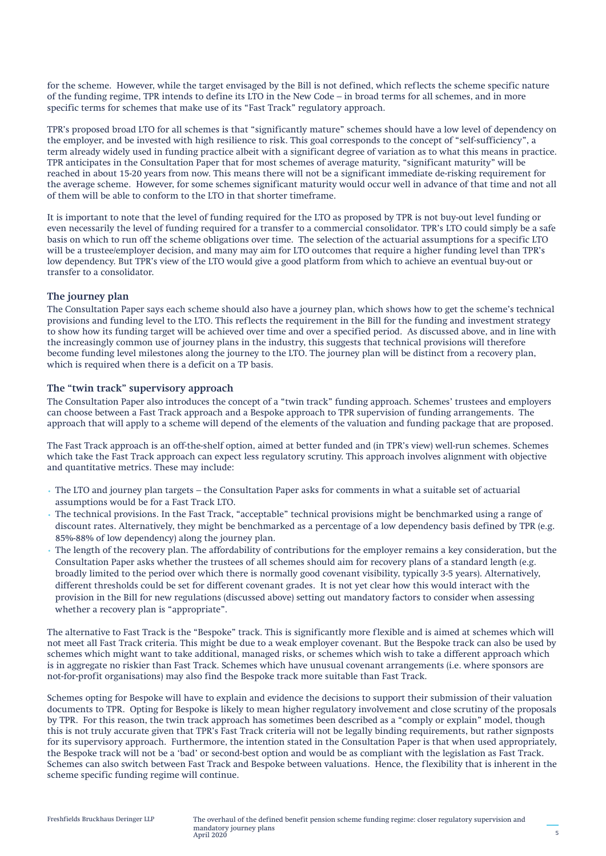for the scheme. However, while the target envisaged by the Bill is not defined, which reflects the scheme specific nature of the funding regime, TPR intends to define its LTO in the New Code – in broad terms for all schemes, and in more specific terms for schemes that make use of its "Fast Track" regulatory approach.

TPR's proposed broad LTO for all schemes is that "significantly mature" schemes should have a low level of dependency on the employer, and be invested with high resilience to risk. This goal corresponds to the concept of "self-sufficiency", a term already widely used in funding practice albeit with a significant degree of variation as to what this means in practice. TPR anticipates in the Consultation Paper that for most schemes of average maturity, "significant maturity" will be reached in about 15-20 years from now. This means there will not be a significant immediate de-risking requirement for the average scheme. However, for some schemes significant maturity would occur well in advance of that time and not all of them will be able to conform to the LTO in that shorter timeframe.

It is important to note that the level of funding required for the LTO as proposed by TPR is not buy-out level funding or even necessarily the level of funding required for a transfer to a commercial consolidator. TPR's LTO could simply be a safe basis on which to run off the scheme obligations over time. The selection of the actuarial assumptions for a specific LTO will be a trustee/employer decision, and many may aim for LTO outcomes that require a higher funding level than TPR's low dependency. But TPR's view of the LTO would give a good platform from which to achieve an eventual buy-out or transfer to a consolidator.

#### **The journey plan**

The Consultation Paper says each scheme should also have a journey plan, which shows how to get the scheme's technical provisions and funding level to the LTO. This reflects the requirement in the Bill for the funding and investment strategy to show how its funding target will be achieved over time and over a specified period. As discussed above, and in line with the increasingly common use of journey plans in the industry, this suggests that technical provisions will therefore become funding level milestones along the journey to the LTO. The journey plan will be distinct from a recovery plan, which is required when there is a deficit on a TP basis.

### **The "twin track" supervisory approach**

The Consultation Paper also introduces the concept of a "twin track" funding approach. Schemes' trustees and employers can choose between a Fast Track approach and a Bespoke approach to TPR supervision of funding arrangements. The approach that will apply to a scheme will depend of the elements of the valuation and funding package that are proposed.

The Fast Track approach is an off-the-shelf option, aimed at better funded and (in TPR's view) well-run schemes. Schemes which take the Fast Track approach can expect less regulatory scrutiny. This approach involves alignment with objective and quantitative metrics. These may include:

- The LTO and journey plan targets the Consultation Paper asks for comments in what a suitable set of actuarial assumptions would be for a Fast Track LTO.
- The technical provisions. In the Fast Track, "acceptable" technical provisions might be benchmarked using a range of discount rates. Alternatively, they might be benchmarked as a percentage of a low dependency basis defined by TPR (e.g. 85%-88% of low dependency) along the journey plan.
- The length of the recovery plan. The affordability of contributions for the employer remains a key consideration, but the Consultation Paper asks whether the trustees of all schemes should aim for recovery plans of a standard length (e.g. broadly limited to the period over which there is normally good covenant visibility, typically 3-5 years). Alternatively, different thresholds could be set for different covenant grades. It is not yet clear how this would interact with the provision in the Bill for new regulations (discussed above) setting out mandatory factors to consider when assessing whether a recovery plan is "appropriate".

The alternative to Fast Track is the "Bespoke" track. This is significantly more flexible and is aimed at schemes which will not meet all Fast Track criteria. This might be due to a weak employer covenant. But the Bespoke track can also be used by schemes which might want to take additional, managed risks, or schemes which wish to take a different approach which is in aggregate no riskier than Fast Track. Schemes which have unusual covenant arrangements (i.e. where sponsors are not-for-profit organisations) may also find the Bespoke track more suitable than Fast Track.

Schemes opting for Bespoke will have to explain and evidence the decisions to support their submission of their valuation documents to TPR. Opting for Bespoke is likely to mean higher regulatory involvement and close scrutiny of the proposals by TPR. For this reason, the twin track approach has sometimes been described as a "comply or explain" model, though this is not truly accurate given that TPR's Fast Track criteria will not be legally binding requirements, but rather signposts for its supervisory approach. Furthermore, the intention stated in the Consultation Paper is that when used appropriately, the Bespoke track will not be a 'bad' or second-best option and would be as compliant with the legislation as Fast Track. Schemes can also switch between Fast Track and Bespoke between valuations. Hence, the flexibility that is inherent in the scheme specific funding regime will continue.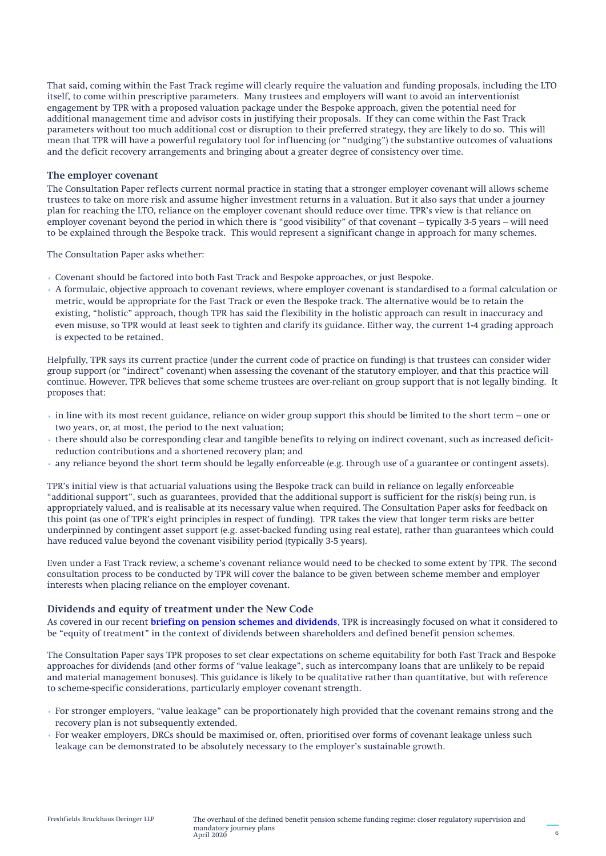That said, coming within the Fast Track regime will clearly require the valuation and funding proposals, including the LTO itself, to come within prescriptive parameters. Many trustees and employers will want to avoid an interventionist engagement by TPR with a proposed valuation package under the Bespoke approach, given the potential need for additional management time and advisor costs in justifying their proposals. If they can come within the Fast Track parameters without too much additional cost or disruption to their preferred strategy, they are likely to do so. This will mean that TPR will have a powerful regulatory tool for influencing (or "nudging") the substantive outcomes of valuations and the deficit recovery arrangements and bringing about a greater degree of consistency over time.

#### **The employer covenant**

The Consultation Paper reflects current normal practice in stating that a stronger employer covenant will allows scheme trustees to take on more risk and assume higher investment returns in a valuation. But it also says that under a journey plan for reaching the LTO, reliance on the employer covenant should reduce over time. TPR's view is that reliance on employer covenant beyond the period in which there is "good visibility" of that covenant – typically 3-5 years – will need to be explained through the Bespoke track. This would represent a significant change in approach for many schemes.

The Consultation Paper asks whether:

- Covenant should be factored into both Fast Track and Bespoke approaches, or just Bespoke.
- A formulaic, objective approach to covenant reviews, where employer covenant is standardised to a formal calculation or metric, would be appropriate for the Fast Track or even the Bespoke track. The alternative would be to retain the existing, "holistic" approach, though TPR has said the flexibility in the holistic approach can result in inaccuracy and even misuse, so TPR would at least seek to tighten and clarify its guidance. Either way, the current 1-4 grading approach is expected to be retained.

Helpfully, TPR says its current practice (under the current code of practice on funding) is that trustees can consider wider group support (or "indirect" covenant) when assessing the covenant of the statutory employer, and that this practice will continue. However, TPR believes that some scheme trustees are over-reliant on group support that is not legally binding. It proposes that:

- in line with its most recent guidance, reliance on wider group support this should be limited to the short term one or two years, or, at most, the period to the next valuation;
- there should also be corresponding clear and tangible benefits to relying on indirect covenant, such as increased deficitreduction contributions and a shortened recovery plan; and
- any reliance beyond the short term should be legally enforceable (e.g. through use of a guarantee or contingent assets).

TPR's initial view is that actuarial valuations using the Bespoke track can build in reliance on legally enforceable "additional support", such as guarantees, provided that the additional support is sufficient for the risk(s) being run, is appropriately valued, and is realisable at its necessary value when required. The Consultation Paper asks for feedback on this point (as one of TPR's eight principles in respect of funding). TPR takes the view that longer term risks are better underpinned by contingent asset support (e.g. asset-backed funding using real estate), rather than guarantees which could have reduced value beyond the covenant visibility period (typically 3-5 years).

Even under a Fast Track review, a scheme's covenant reliance would need to be checked to some extent by TPR. The second consultation process to be conducted by TPR will cover the balance to be given between scheme member and employer interests when placing reliance on the employer covenant.

## **Dividends and equity of treatment under the New Code**

As covered in our recent **[briefing on pension schemes and dividends](http://knowledge.freshfields.com/m/Global/r/3692/pensions_issues_on_paying_dividends)**, TPR is increasingly focused on what it considered to be "equity of treatment" in the context of dividends between shareholders and defined benefit pension schemes.

The Consultation Paper says TPR proposes to set clear expectations on scheme equitability for both Fast Track and Bespoke approaches for dividends (and other forms of "value leakage", such as intercompany loans that are unlikely to be repaid and material management bonuses). This guidance is likely to be qualitative rather than quantitative, but with reference to scheme-specific considerations, particularly employer covenant strength.

- For stronger employers, "value leakage" can be proportionately high provided that the covenant remains strong and the recovery plan is not subsequently extended.
- For weaker employers, DRCs should be maximised or, often, prioritised over forms of covenant leakage unless such leakage can be demonstrated to be absolutely necessary to the employer's sustainable growth.